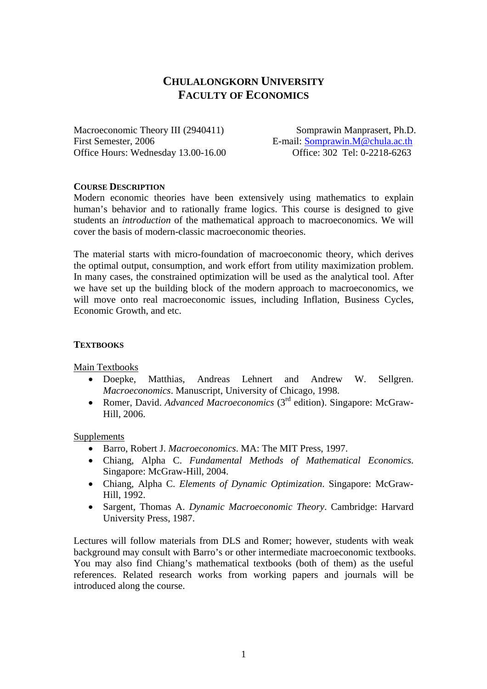# **CHULALONGKORN UNIVERSITY FACULTY OF ECONOMICS**

Macroeconomic Theory III (2940411) Somprawin Manprasert, Ph.D. First Semester, 2006 E-mail: Somprawin.M@chula.ac.th Office Hours: Wednesday 13.00-16.00 Office: 302 Tel: 0-2218-6263

### **COURSE DESCRIPTION**

Modern economic theories have been extensively using mathematics to explain human's behavior and to rationally frame logics. This course is designed to give students an *introduction* of the mathematical approach to macroeconomics. We will cover the basis of modern-classic macroeconomic theories.

The material starts with micro-foundation of macroeconomic theory, which derives the optimal output, consumption, and work effort from utility maximization problem. In many cases, the constrained optimization will be used as the analytical tool. After we have set up the building block of the modern approach to macroeconomics, we will move onto real macroeconomic issues, including Inflation, Business Cycles, Economic Growth, and etc.

### **TEXTBOOKS**

Main Textbooks

- Doepke, Matthias, Andreas Lehnert and Andrew W. Sellgren. *Macroeconomics*. Manuscript, University of Chicago, 1998.
- Romer, David. *Advanced Macroeconomics* (3<sup>rd</sup> edition). Singapore: McGraw-Hill, 2006.

Supplements

- Barro, Robert J. *Macroeconomics*. MA: The MIT Press, 1997.
- Chiang, Alpha C. *Fundamental Methods of Mathematical Economics*. Singapore: McGraw-Hill, 2004.
- Chiang, Alpha C. *Elements of Dynamic Optimization*. Singapore: McGraw-Hill, 1992.
- Sargent, Thomas A. *Dynamic Macroeconomic Theory*. Cambridge: Harvard University Press, 1987.

Lectures will follow materials from DLS and Romer; however, students with weak background may consult with Barro's or other intermediate macroeconomic textbooks. You may also find Chiang's mathematical textbooks (both of them) as the useful references. Related research works from working papers and journals will be introduced along the course.